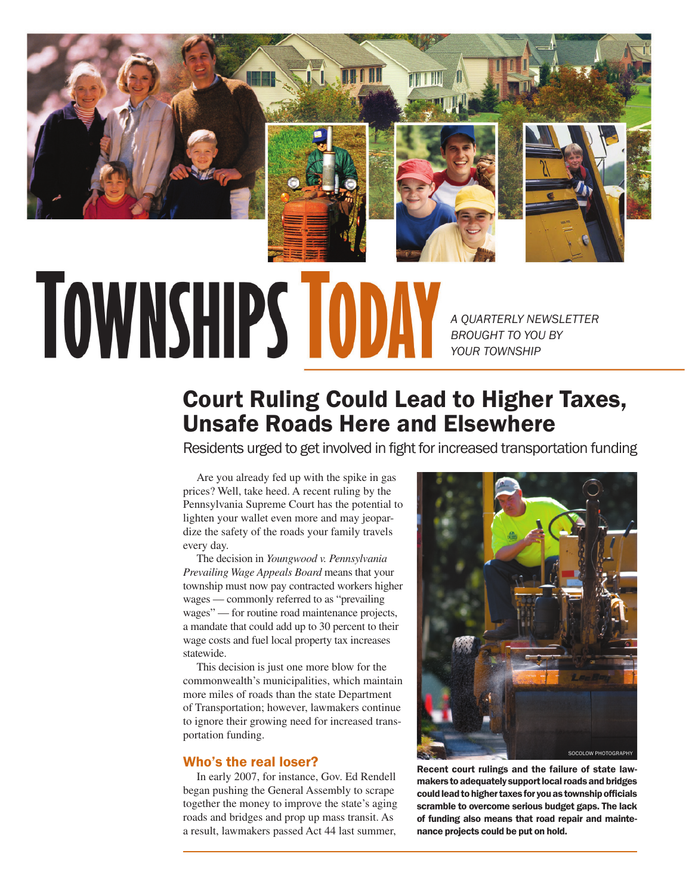

# **TOWNSHIPS TODA**

*A QUARTERLY NEWSLETTER BROUGHT TO YOU BY YOUR TOWNSHIP*

# Court Ruling Could Lead to Higher Taxes, Unsafe Roads Here and Elsewhere

Residents urged to get involved in fight for increased transportation funding

Are you already fed up with the spike in gas prices? Well, take heed. A recent ruling by the Pennsylvania Supreme Court has the potential to lighten your wallet even more and may jeopardize the safety of the roads your family travels every day.

The decision in *Youngwood v. Pennsylvania Prevailing Wage Appeals Board* means that your township must now pay contracted workers higher wages — commonly referred to as "prevailing wages" — for routine road maintenance projects, a mandate that could add up to 30 percent to their wage costs and fuel local property tax increases statewide.

This decision is just one more blow for the commonwealth's municipalities, which maintain more miles of roads than the state Department of Transportation; however, lawmakers continue to ignore their growing need for increased transportation funding.

### Who's the real loser?

In early 2007, for instance, Gov. Ed Rendell began pushing the General Assembly to scrape together the money to improve the state's aging roads and bridges and prop up mass transit. As a result, lawmakers passed Act 44 last summer,



Recent court rulings and the failure of state lawmakers to adequately support local roads and bridges could lead to higher taxes for you as township officials scramble to overcome serious budget gaps. The lack of funding also means that road repair and maintenance projects could be put on hold.